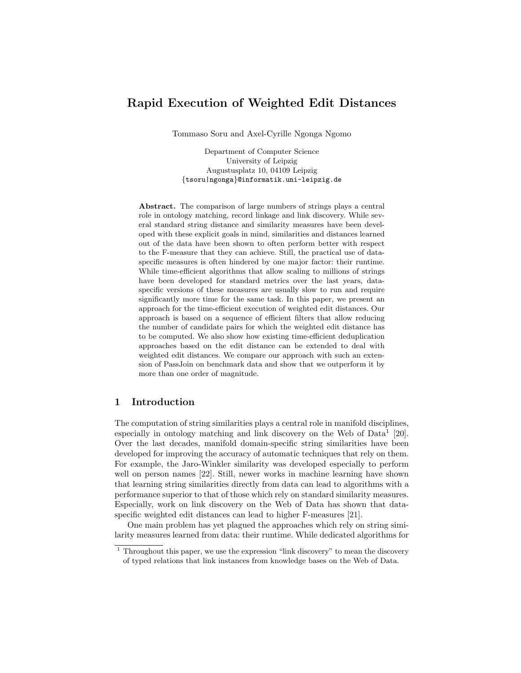# Rapid Execution of Weighted Edit Distances

Tommaso Soru and Axel-Cyrille Ngonga Ngomo

Department of Computer Science University of Leipzig Augustusplatz 10, 04109 Leipzig {tsoru|ngonga}@informatik.uni-leipzig.de

Abstract. The comparison of large numbers of strings plays a central role in ontology matching, record linkage and link discovery. While several standard string distance and similarity measures have been developed with these explicit goals in mind, similarities and distances learned out of the data have been shown to often perform better with respect to the F-measure that they can achieve. Still, the practical use of dataspecific measures is often hindered by one major factor: their runtime. While time-efficient algorithms that allow scaling to millions of strings have been developed for standard metrics over the last years, dataspecific versions of these measures are usually slow to run and require significantly more time for the same task. In this paper, we present an approach for the time-efficient execution of weighted edit distances. Our approach is based on a sequence of efficient filters that allow reducing the number of candidate pairs for which the weighted edit distance has to be computed. We also show how existing time-efficient deduplication approaches based on the edit distance can be extended to deal with weighted edit distances. We compare our approach with such an extension of PassJoin on benchmark data and show that we outperform it by more than one order of magnitude.

## 1 Introduction

The computation of string similarities plays a central role in manifold disciplines, especially in ontology matching and link discovery on the Web of  $Data<sup>1</sup> [20]$ . Over the last decades, manifold domain-specific string similarities have been developed for improving the accuracy of automatic techniques that rely on them. For example, the Jaro-Winkler similarity was developed especially to perform well on person names [22]. Still, newer works in machine learning have shown that learning string similarities directly from data can lead to algorithms with a performance superior to that of those which rely on standard similarity measures. Especially, work on link discovery on the Web of Data has shown that dataspecific weighted edit distances can lead to higher F-measures [21].

One main problem has yet plagued the approaches which rely on string similarity measures learned from data: their runtime. While dedicated algorithms for

<sup>&</sup>lt;sup>1</sup> Throughout this paper, we use the expression "link discovery" to mean the discovery of typed relations that link instances from knowledge bases on the Web of Data.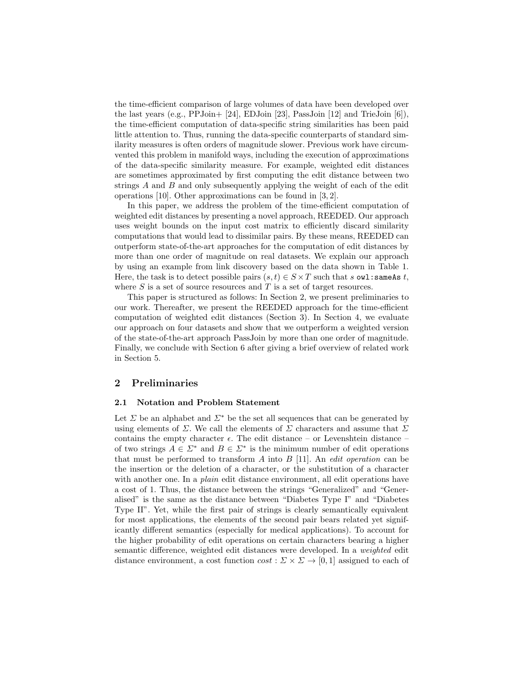the time-efficient comparison of large volumes of data have been developed over the last years (e.g.,  $PPJoin+$  [24], EDJoin [23], PassJoin [12] and TrieJoin [6]), the time-efficient computation of data-specific string similarities has been paid little attention to. Thus, running the data-specific counterparts of standard similarity measures is often orders of magnitude slower. Previous work have circumvented this problem in manifold ways, including the execution of approximations of the data-specific similarity measure. For example, weighted edit distances are sometimes approximated by first computing the edit distance between two strings  $A$  and  $B$  and only subsequently applying the weight of each of the edit operations [10]. Other approximations can be found in [3, 2].

In this paper, we address the problem of the time-efficient computation of weighted edit distances by presenting a novel approach, REEDED. Our approach uses weight bounds on the input cost matrix to efficiently discard similarity computations that would lead to dissimilar pairs. By these means, REEDED can outperform state-of-the-art approaches for the computation of edit distances by more than one order of magnitude on real datasets. We explain our approach by using an example from link discovery based on the data shown in Table 1. Here, the task is to detect possible pairs  $(s, t) \in S \times T$  such that s owl: same As t, where  $S$  is a set of source resources and  $T$  is a set of target resources.

This paper is structured as follows: In Section 2, we present preliminaries to our work. Thereafter, we present the REEDED approach for the time-efficient computation of weighted edit distances (Section 3). In Section 4, we evaluate our approach on four datasets and show that we outperform a weighted version of the state-of-the-art approach PassJoin by more than one order of magnitude. Finally, we conclude with Section 6 after giving a brief overview of related work in Section 5.

## 2 Preliminaries

## 2.1 Notation and Problem Statement

Let  $\Sigma$  be an alphabet and  $\Sigma^*$  be the set all sequences that can be generated by using elements of  $\Sigma$ . We call the elements of  $\Sigma$  characters and assume that  $\Sigma$ contains the empty character  $\epsilon$ . The edit distance – or Levenshtein distance – of two strings  $A \in \Sigma^*$  and  $B \in \Sigma^*$  is the minimum number of edit operations that must be performed to transform  $A$  into  $B$  [11]. An *edit operation* can be the insertion or the deletion of a character, or the substitution of a character with another one. In a *plain* edit distance environment, all edit operations have a cost of 1. Thus, the distance between the strings "Generalized" and "Generalised" is the same as the distance between "Diabetes Type I" and "Diabetes Type II". Yet, while the first pair of strings is clearly semantically equivalent for most applications, the elements of the second pair bears related yet significantly different semantics (especially for medical applications). To account for the higher probability of edit operations on certain characters bearing a higher semantic difference, weighted edit distances were developed. In a weighted edit distance environment, a cost function  $cost : \Sigma \times \Sigma \rightarrow [0,1]$  assigned to each of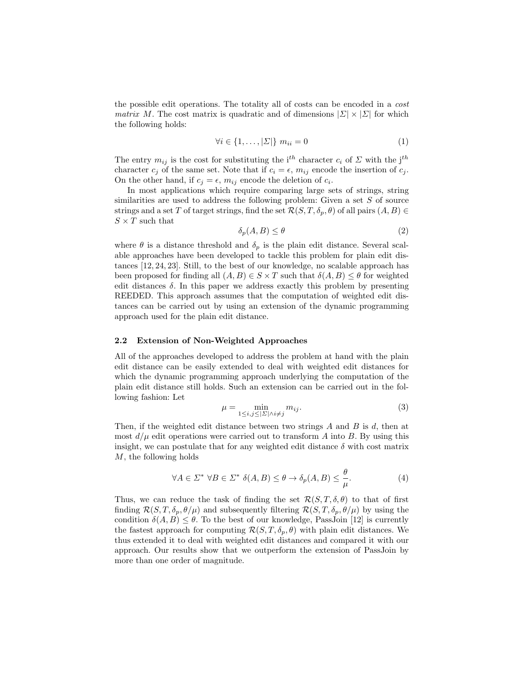the possible edit operations. The totality all of costs can be encoded in a cost *matrix* M. The cost matrix is quadratic and of dimensions  $|\Sigma| \times |\Sigma|$  for which the following holds:

$$
\forall i \in \{1, \dots, |\Sigma|\} \ m_{ii} = 0 \tag{1}
$$

The entry  $m_{ij}$  is the cost for substituting the i<sup>th</sup> character  $c_i$  of  $\Sigma$  with the j<sup>th</sup> character  $c_j$  of the same set. Note that if  $c_i = \epsilon$ ,  $m_{ij}$  encode the insertion of  $c_j$ . On the other hand, if  $c_j = \epsilon$ ,  $m_{ij}$  encode the deletion of  $c_i$ .

In most applications which require comparing large sets of strings, string similarities are used to address the following problem: Given a set  $S$  of source strings and a set T of target strings, find the set  $\mathcal{R}(S, T, \delta_p, \theta)$  of all pairs  $(A, B) \in$  $S \times T$  such that

$$
\delta_p(A, B) \le \theta \tag{2}
$$

where  $\theta$  is a distance threshold and  $\delta_p$  is the plain edit distance. Several scalable approaches have been developed to tackle this problem for plain edit distances [12, 24, 23]. Still, to the best of our knowledge, no scalable approach has been proposed for finding all  $(A, B) \in S \times T$  such that  $\delta(A, B) \leq \theta$  for weighted edit distances  $\delta$ . In this paper we address exactly this problem by presenting REEDED. This approach assumes that the computation of weighted edit distances can be carried out by using an extension of the dynamic programming approach used for the plain edit distance.

## 2.2 Extension of Non-Weighted Approaches

All of the approaches developed to address the problem at hand with the plain edit distance can be easily extended to deal with weighted edit distances for which the dynamic programming approach underlying the computation of the plain edit distance still holds. Such an extension can be carried out in the following fashion: Let

$$
\mu = \min_{1 \le i,j \le |\Sigma| \wedge i \ne j} m_{ij}.\tag{3}
$$

Then, if the weighted edit distance between two strings  $A$  and  $B$  is  $d$ , then at most  $d/\mu$  edit operations were carried out to transform A into B. By using this insight, we can postulate that for any weighted edit distance  $\delta$  with cost matrix M, the following holds

$$
\forall A \in \Sigma^* \ \forall B \in \Sigma^* \ \delta(A, B) \le \theta \to \delta_p(A, B) \le \frac{\theta}{\mu}.\tag{4}
$$

Thus, we can reduce the task of finding the set  $\mathcal{R}(S, T, \delta, \theta)$  to that of first finding  $\mathcal{R}(S, T, \delta_p, \theta/\mu)$  and subsequently filtering  $\mathcal{R}(S, T, \delta_p, \theta/\mu)$  by using the condition  $\delta(A, B) \leq \theta$ . To the best of our knowledge, PassJoin [12] is currently the fastest approach for computing  $\mathcal{R}(S, T, \delta_p, \theta)$  with plain edit distances. We thus extended it to deal with weighted edit distances and compared it with our approach. Our results show that we outperform the extension of PassJoin by more than one order of magnitude.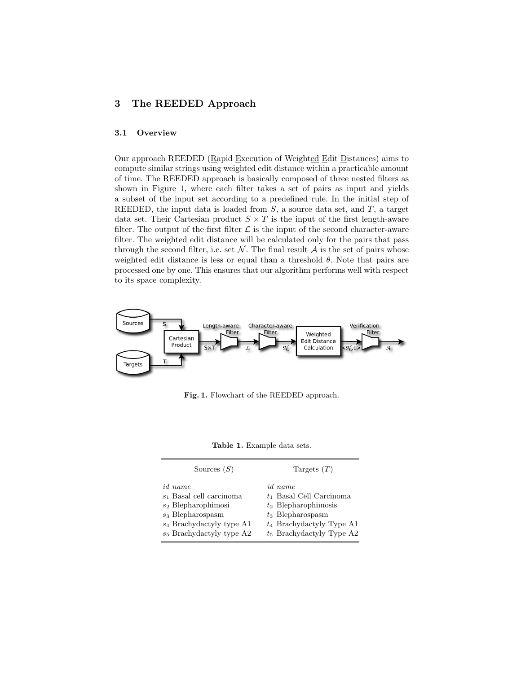## 3 The REEDED Approach

### 3.1 Overview

Our approach REEDED (Rapid Execution of Weighted Edit Distances) aims to compute similar strings using weighted edit distance within a practicable amount of time. The REEDED approach is basically composed of three nested filters as shown in Figure 1, where each filter takes a set of pairs as input and yields a subset of the input set according to a predefined rule. In the initial step of REEDED, the input data is loaded from  $S$ , a source data set, and  $T$ , a target data set. Their Cartesian product  $S \times T$  is the input of the first length-aware filter. The output of the first filter  $\mathcal L$  is the input of the second character-aware filter. The weighted edit distance will be calculated only for the pairs that pass through the second filter, i.e. set  $\mathcal N$ . The final result  $\mathcal A$  is the set of pairs whose weighted edit distance is less or equal than a threshold  $\theta$ . Note that pairs are processed one by one. This ensures that our algorithm performs well with respect to its space complexity.



Fig. 1. Flowchart of the REEDED approach.

Table 1. Example data sets.

| Sources $(S)$               | Targets $(T)$               |  |  |  |
|-----------------------------|-----------------------------|--|--|--|
| <i>id</i> name              | <i>id</i> name              |  |  |  |
| $s_1$ Basal cell carcinoma  | $t_1$ Basal Cell Carcinoma  |  |  |  |
| $s_2$ Blepharophimosi       | $t_2$ Blepharophimosis      |  |  |  |
| $s_3$ Blepharospasm         | $t_3$ Blepharospasm         |  |  |  |
| $s_4$ Brachydactyly type A1 | $t_4$ Brachydactyly Type A1 |  |  |  |
| $s_5$ Brachydactyly type A2 | $t_5$ Brachydactyly Type A2 |  |  |  |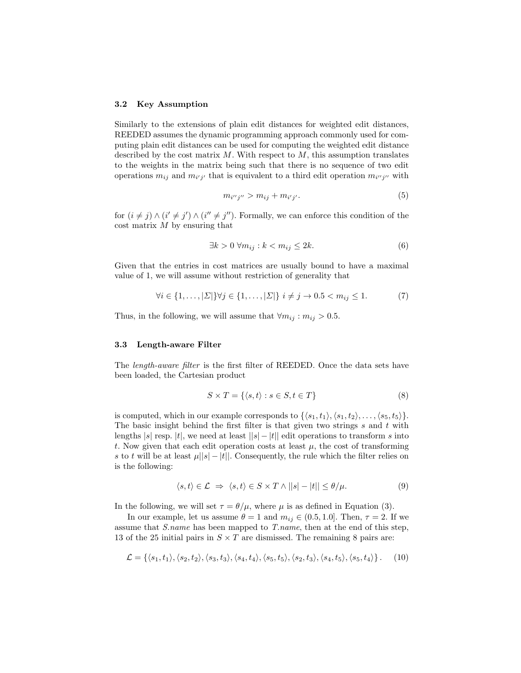#### 3.2 Key Assumption

Similarly to the extensions of plain edit distances for weighted edit distances, REEDED assumes the dynamic programming approach commonly used for computing plain edit distances can be used for computing the weighted edit distance described by the cost matrix  $M$ . With respect to  $M$ , this assumption translates to the weights in the matrix being such that there is no sequence of two edit operations  $m_{ij}$  and  $m_{i'j'}$  that is equivalent to a third edit operation  $m_{i''j''}$  with

$$
m_{i^{\prime\prime}j^{\prime\prime}} > m_{ij} + m_{i^{\prime}j^{\prime}}.\tag{5}
$$

for  $(i \neq j) \wedge (i' \neq j') \wedge (i'' \neq j'')$ . Formally, we can enforce this condition of the cost matrix M by ensuring that

$$
\exists k > 0 \ \forall m_{ij} : k < m_{ij} \le 2k. \tag{6}
$$

Given that the entries in cost matrices are usually bound to have a maximal value of 1, we will assume without restriction of generality that

$$
\forall i \in \{1, \ldots, |\Sigma|\} \forall j \in \{1, \ldots, |\Sigma|\} \ i \neq j \to 0.5 < m_{ij} \leq 1. \tag{7}
$$

Thus, in the following, we will assume that  $\forall m_{ij} : m_{ij} > 0.5$ .

#### 3.3 Length-aware Filter

The length-aware filter is the first filter of REEDED. Once the data sets have been loaded, the Cartesian product

$$
S \times T = \{ \langle s, t \rangle : s \in S, t \in T \}
$$
\n
$$
(8)
$$

is computed, which in our example corresponds to  $\{\langle s_1, t_1 \rangle, \langle s_1, t_2 \rangle, \ldots, \langle s_5, t_5 \rangle\}.$ The basic insight behind the first filter is that given two strings  $s$  and  $t$  with lengths |s| resp. |t|, we need at least  $||s|-|t||$  edit operations to transform s into t. Now given that each edit operation costs at least  $\mu$ , the cost of transforming s to t will be at least  $\mu||s| - |t||$ . Consequently, the rule which the filter relies on is the following:

$$
\langle s, t \rangle \in \mathcal{L} \implies \langle s, t \rangle \in S \times T \wedge ||s| - |t|| \le \theta/\mu. \tag{9}
$$

In the following, we will set  $\tau = \theta/\mu$ , where  $\mu$  is as defined in Equation (3).

In our example, let us assume  $\theta = 1$  and  $m_{ij} \in (0.5, 1.0]$ . Then,  $\tau = 2$ . If we assume that S.name has been mapped to T.name, then at the end of this step, 13 of the 25 initial pairs in  $S \times T$  are dismissed. The remaining 8 pairs are:

$$
\mathcal{L} = \{ \langle s_1, t_1 \rangle, \langle s_2, t_2 \rangle, \langle s_3, t_3 \rangle, \langle s_4, t_4 \rangle, \langle s_5, t_5 \rangle, \langle s_2, t_3 \rangle, \langle s_4, t_5 \rangle, \langle s_5, t_4 \rangle \}.
$$
 (10)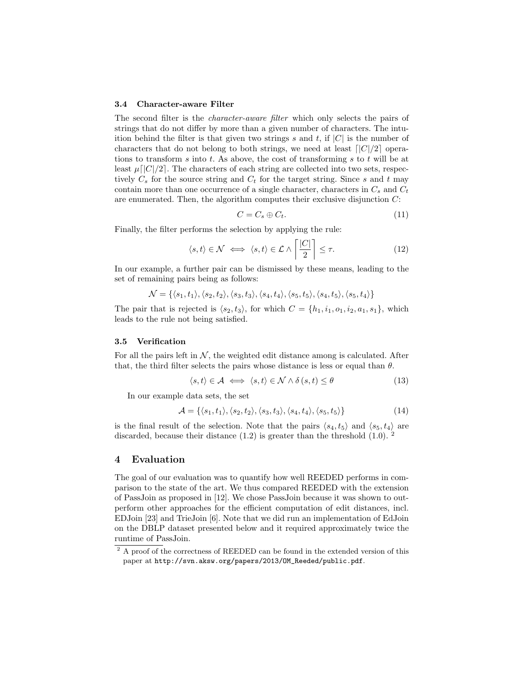#### 3.4 Character-aware Filter

The second filter is the *character-aware filter* which only selects the pairs of strings that do not differ by more than a given number of characters. The intuition behind the filter is that given two strings s and t, if  $|C|$  is the number of characters that do not belong to both strings, we need at least  $\lceil |C|/2 \rceil$  operations to transform s into t. As above, the cost of transforming s to t will be at least  $\mu$ [ $|C|/2$ ]. The characters of each string are collected into two sets, respectively  $C_s$  for the source string and  $C_t$  for the target string. Since s and t may contain more than one occurrence of a single character, characters in  $C_s$  and  $C_t$ are enumerated. Then, the algorithm computes their exclusive disjunction  $C$ :

$$
C = C_s \oplus C_t. \tag{11}
$$

Finally, the filter performs the selection by applying the rule:

$$
\langle s, t \rangle \in \mathcal{N} \iff \langle s, t \rangle \in \mathcal{L} \land \left\lceil \frac{|C|}{2} \right\rceil \le \tau. \tag{12}
$$

In our example, a further pair can be dismissed by these means, leading to the set of remaining pairs being as follows:

$$
\mathcal{N} = \{ \langle s_1, t_1 \rangle, \langle s_2, t_2 \rangle, \langle s_3, t_3 \rangle, \langle s_4, t_4 \rangle, \langle s_5, t_5 \rangle, \langle s_4, t_5 \rangle, \langle s_5, t_4 \rangle \}
$$

The pair that is rejected is  $\langle s_2, t_3 \rangle$ , for which  $C = \{h_1, i_1, o_1, i_2, a_1, s_1\}$ , which leads to the rule not being satisfied.

### 3.5 Verification

For all the pairs left in  $N$ , the weighted edit distance among is calculated. After that, the third filter selects the pairs whose distance is less or equal than  $\theta$ .

$$
\langle s, t \rangle \in \mathcal{A} \iff \langle s, t \rangle \in \mathcal{N} \land \delta \left( s, t \right) \le \theta \tag{13}
$$

In our example data sets, the set

$$
\mathcal{A} = \{ \langle s_1, t_1 \rangle, \langle s_2, t_2 \rangle, \langle s_3, t_3 \rangle, \langle s_4, t_4 \rangle, \langle s_5, t_5 \rangle \}
$$
(14)

is the final result of the selection. Note that the pairs  $\langle s_4, t_5 \rangle$  and  $\langle s_5, t_4 \rangle$  are discarded, because their distance  $(1.2)$  is greater than the threshold  $(1.0)$ . <sup>2</sup>

## 4 Evaluation

The goal of our evaluation was to quantify how well REEDED performs in comparison to the state of the art. We thus compared REEDED with the extension of PassJoin as proposed in [12]. We chose PassJoin because it was shown to outperform other approaches for the efficient computation of edit distances, incl. EDJoin [23] and TrieJoin [6]. Note that we did run an implementation of EdJoin on the DBLP dataset presented below and it required approximately twice the runtime of PassJoin.

 $^{\rm 2}$  A proof of the correctness of REEDED can be found in the extended version of this paper at http://svn.aksw.org/papers/2013/OM\_Reeded/public.pdf.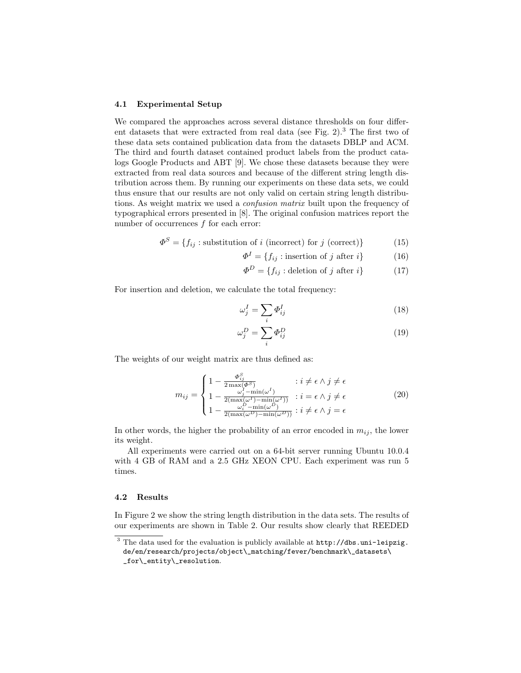### 4.1 Experimental Setup

We compared the approaches across several distance thresholds on four different datasets that were extracted from real data (see Fig. 2).<sup>3</sup> The first two of these data sets contained publication data from the datasets DBLP and ACM. The third and fourth dataset contained product labels from the product catalogs Google Products and ABT [9]. We chose these datasets because they were extracted from real data sources and because of the different string length distribution across them. By running our experiments on these data sets, we could thus ensure that our results are not only valid on certain string length distributions. As weight matrix we used a confusion matrix built upon the frequency of typographical errors presented in [8]. The original confusion matrices report the number of occurrences  $f$  for each error:

$$
\Phi^{S} = \{f_{ij} : \text{substitution of } i \text{ (incorrect) for } j \text{ (correct)}\}\
$$
 (15)

$$
\Phi^I = \{f_{ij} : \text{insertion of } j \text{ after } i\} \tag{16}
$$

$$
\Phi^D = \{f_{ij} : \text{deletion of } j \text{ after } i\} \tag{17}
$$

For insertion and deletion, we calculate the total frequency:

$$
\omega_j^I = \sum_i \Phi_{ij}^I \tag{18}
$$

$$
\omega_j^D = \sum_i \Phi_{ij}^D \tag{19}
$$

The weights of our weight matrix are thus defined as:

$$
m_{ij} = \begin{cases} 1 - \frac{\Phi_{ij}^S}{2 \max(\Phi^S)} & \text{: } i \neq \epsilon \land j \neq \epsilon \\ 1 - \frac{\omega_j^I - \min(\omega^I)}{2(\max(\omega^I) - \min(\omega^I))} & \text{: } i = \epsilon \land j \neq \epsilon \\ 1 - \frac{\omega_i^D - \min(\omega^D)}{2(\max(\omega^D) - \min(\omega^D))} & \text{: } i \neq \epsilon \land j = \epsilon \end{cases}
$$
(20)

In other words, the higher the probability of an error encoded in  $m_{ij}$ , the lower its weight.

All experiments were carried out on a 64-bit server running Ubuntu 10.0.4 with 4 GB of RAM and a 2.5 GHz XEON CPU. Each experiment was run 5 times.

## 4.2 Results

In Figure 2 we show the string length distribution in the data sets. The results of our experiments are shown in Table 2. Our results show clearly that REEDED

<sup>3</sup> The data used for the evaluation is publicly available at http://dbs.uni-leipzig. de/en/research/projects/object\\_matching/fever/benchmark\\_datasets\ \_for\\_entity\\_resolution.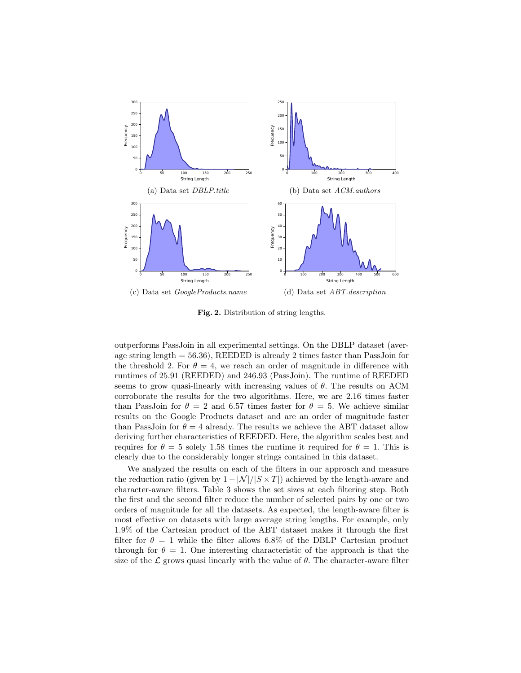

Fig. 2. Distribution of string lengths.

outperforms PassJoin in all experimental settings. On the DBLP dataset (average string length = 56.36), REEDED is already 2 times faster than PassJoin for the threshold 2. For  $\theta = 4$ , we reach an order of magnitude in difference with runtimes of 25.91 (REEDED) and 246.93 (PassJoin). The runtime of REEDED seems to grow quasi-linearly with increasing values of  $\theta$ . The results on ACM corroborate the results for the two algorithms. Here, we are 2.16 times faster than PassJoin for  $\theta = 2$  and 6.57 times faster for  $\theta = 5$ . We achieve similar results on the Google Products dataset and are an order of magnitude faster than PassJoin for  $\theta = 4$  already. The results we achieve the ABT dataset allow deriving further characteristics of REEDED. Here, the algorithm scales best and requires for  $\theta = 5$  solely 1.58 times the runtime it required for  $\theta = 1$ . This is clearly due to the considerably longer strings contained in this dataset.

We analyzed the results on each of the filters in our approach and measure the reduction ratio (given by  $1 - |N|/|S \times T|$ ) achieved by the length-aware and character-aware filters. Table 3 shows the set sizes at each filtering step. Both the first and the second filter reduce the number of selected pairs by one or two orders of magnitude for all the datasets. As expected, the length-aware filter is most effective on datasets with large average string lengths. For example, only 1.9% of the Cartesian product of the ABT dataset makes it through the first filter for  $\theta = 1$  while the filter allows 6.8% of the DBLP Cartesian product through for  $\theta = 1$ . One interesting characteristic of the approach is that the size of the  $\mathcal L$  grows quasi linearly with the value of  $\theta$ . The character-aware filter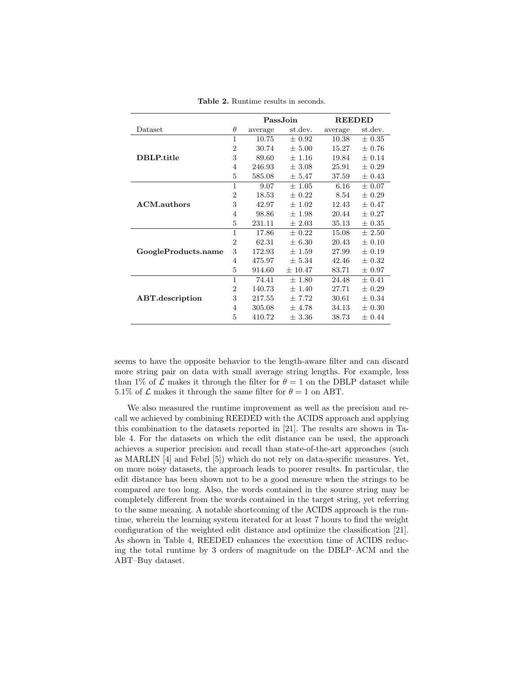|                     |                |         | Pass.Join   | <b>REEDED</b> |            |  |
|---------------------|----------------|---------|-------------|---------------|------------|--|
| Dataset             | $\theta$       | average | st.dev.     | average       | st.dev.    |  |
|                     |                | 10.75   | $\pm 0.92$  | 10.38         | $\pm$ 0.35 |  |
| DBLP.title          | $\overline{2}$ | 30.74   | $+5.00$     | 15.27         | $+0.76$    |  |
|                     | 3              | 89.60   | $\pm$ 1.16  | 19.84         | $\pm$ 0.14 |  |
|                     | 4              | 246.93  | ± 3.08      | 25.91         | $\pm$ 0.29 |  |
|                     | 5              | 585.08  | $\pm 5.47$  | 37.59         | $\pm$ 0.43 |  |
| <b>ACM.authors</b>  | $\overline{1}$ | 9.07    | $\pm 1.05$  | 6.16          | $\pm 0.07$ |  |
|                     | $\overline{2}$ | 18.53   | $\pm$ 0.22  | 8.54          | $\pm 0.29$ |  |
|                     | 3              | 42.97   | $\pm 1.02$  | 12.43         | $\pm$ 0.47 |  |
|                     | 4              | 98.86   | $\pm$ 1.98  | 20.44         | $\pm$ 0.27 |  |
|                     | 5              | 231.11  | $\pm 2.03$  | 35.13         | $\pm$ 0.35 |  |
|                     | 1              | 17.86   | $\pm$ 0.22  | 15.08         | ±2.50      |  |
|                     | $\overline{2}$ | 62.31   | $\pm 6.30$  | 20.43         | $\pm$ 0.10 |  |
| GoogleProducts.name | 3              | 172.93  | $\pm$ 1.59  | 27.99         | $\pm$ 0.19 |  |
|                     | 4              | 475.97  | $\pm 5.34$  | 42.46         | $\pm$ 0.32 |  |
|                     | 5              | 914.60  | $\pm 10.47$ | 83.71         | $\pm 0.97$ |  |
|                     | $\overline{1}$ | 74.41   | $\pm 1.80$  | 24.48         | ± 0.41     |  |
|                     | $\overline{2}$ | 140.73  | $\pm$ 1.40  | 27.71         | $\pm 0.29$ |  |
| ABT.description     | 3              | 217.55  | $\pm 7.72$  | 30.61         | $\pm 0.34$ |  |
|                     | 4              | 305.08  | ± 4.78      | 34.13         | $\pm 0.30$ |  |
|                     | 5              | 410.72  | $\pm$ 3.36  | 38.73         | $\pm$ 0.44 |  |

Table 2. Runtime results in seconds.

seems to have the opposite behavior to the length-aware filter and can discard more string pair on data with small average string lengths. For example, less than 1% of  $\mathcal L$  makes it through the filter for  $\theta = 1$  on the DBLP dataset while 5.1% of  $\mathcal L$  makes it through the same filter for  $\theta = 1$  on ABT.

We also measured the runtime improvement as well as the precision and recall we achieved by combining REEDED with the ACIDS approach and applying this combination to the datasets reported in [21]. The results are shown in Table 4. For the datasets on which the edit distance can be used, the approach achieves a superior precision and recall than state-of-the-art approaches (such as MARLIN [4] and Febrl [5]) which do not rely on data-specific measures. Yet, on more noisy datasets, the approach leads to poorer results. In particular, the edit distance has been shown not to be a good measure when the strings to be compared are too long. Also, the words contained in the source string may be completely different from the words contained in the target string, yet referring to the same meaning. A notable shortcoming of the ACIDS approach is the runtime, wherein the learning system iterated for at least 7 hours to find the weight configuration of the weighted edit distance and optimize the classification [21]. As shown in Table 4, REEDED enhances the execution time of ACIDS reducing the total runtime by 3 orders of magnitude on the DBLP–ACM and the ABT–Buy dataset.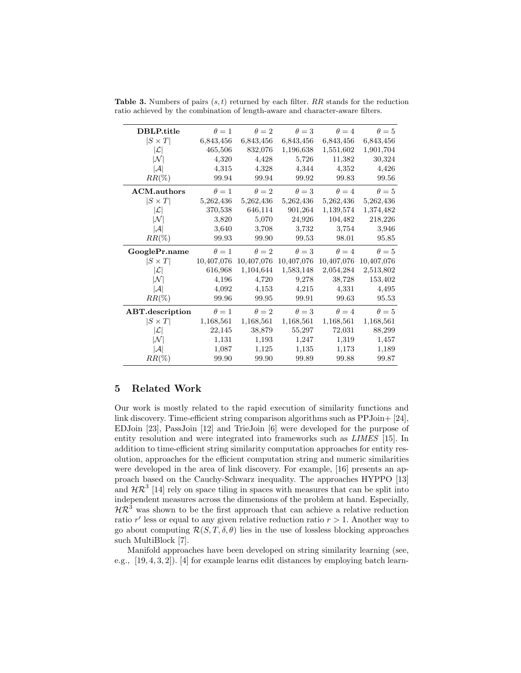| DBLP.title          | $\theta=1$   | $\theta = 2$ | $\theta = 3$ | $\theta = 4$ | $\theta=5$   |
|---------------------|--------------|--------------|--------------|--------------|--------------|
| $ S \times T $      | 6,843,456    | 6,843,456    | 6,843,456    | 6,843,456    | 6,843,456    |
| $ \mathcal{L} $     | 465,506      | 832,076      | 1,196,638    | 1,551,602    | 1,901,704    |
| $ \mathcal{N} $     | 4,320        | 4,428        | 5,726        | 11,382       | 30,324       |
| $ \mathcal{A} $     | 4,315        | 4,328        | 4,344        | 4,352        | 4,426        |
| $RR(\%)$            | 99.94        | 99.94        | 99.92        | 99.83        | 99.56        |
| <b>ACM</b> .authors | $\theta = 1$ | $\theta = 2$ | $\theta = 3$ | $\theta = 4$ | $\theta = 5$ |
| $ S \times T $      | 5,262,436    | 5,262,436    | 5,262,436    | 5,262,436    | 5,262,436    |
| $ \mathcal{L} $     | 370,538      | 646,114      | 901,264      | 1,139,574    | 1,374,482    |
| M                   | 3,820        | 5,070        | 24,926       | 104,482      | 218,226      |
| $ \mathcal{A} $     | 3,640        | 3,708        | 3,732        | 3,754        | 3,946        |
| $RR(\%)$            | 99.93        | 99.90        | 99.53        | 98.01        | 95.85        |
|                     |              |              |              |              |              |
| GooglePr.name       | $\theta=1$   | $\theta = 2$ | $\theta=3$   | $\theta = 4$ | $\theta=5$   |
| $ S \times T $      | 10,407,076   | 10,407,076   | 10,407,076   | 10,407,076   | 10,407,076   |
| $ \mathcal{L} $     | 616,968      | 1,104,644    | 1,583,148    | 2,054,284    | 2,513,802    |
| M                   | 4,196        | 4,720        | 9,278        | 38,728       | 153,402      |
| $ \mathcal{A} $     | 4,092        | 4,153        | 4,215        | 4,331        | 4,495        |
| $RR(\%)$            | 99.96        | 99.95        | 99.91        | 99.63        | 95.53        |
| ABT.description     | $\theta=1$   | $\theta = 2$ | $\theta = 3$ | $\theta = 4$ | $\theta = 5$ |
| $ S \times T $      | 1,168,561    | 1,168,561    | 1,168,561    | 1,168,561    | 1,168,561    |
| $ \mathcal{L} $     | 22,145       | 38,879       | 55,297       | 72,031       | 88,299       |
| IМ                  | 1,131        | 1,193        | 1,247        | 1,319        | 1,457        |
| $ \mathcal{A} $     | 1,087        | 1,125        | 1,135        | 1,173        | 1,189        |

**Table 3.** Numbers of pairs  $(s, t)$  returned by each filter. RR stands for the reduction ratio achieved by the combination of length-aware and character-aware filters.

## 5 Related Work

Our work is mostly related to the rapid execution of similarity functions and link discovery. Time-efficient string comparison algorithms such as PPJoin+ [24], EDJoin [23], PassJoin [12] and TrieJoin [6] were developed for the purpose of entity resolution and were integrated into frameworks such as LIMES [15]. In addition to time-efficient string similarity computation approaches for entity resolution, approaches for the efficient computation string and numeric similarities were developed in the area of link discovery. For example, [16] presents an approach based on the Cauchy-Schwarz inequality. The approaches HYPPO [13] and  $\mathcal{HR}^3$  [14] rely on space tiling in spaces with measures that can be split into independent measures across the dimensions of the problem at hand. Especially,  $H\mathcal{R}^3$  was shown to be the first approach that can achieve a relative reduction ratio  $r'$  less or equal to any given relative reduction ratio  $r > 1$ . Another way to go about computing  $\mathcal{R}(S, T, \delta, \theta)$  lies in the use of lossless blocking approaches such MultiBlock [7].

Manifold approaches have been developed on string similarity learning (see, e.g., [19, 4, 3, 2]). [4] for example learns edit distances by employing batch learn-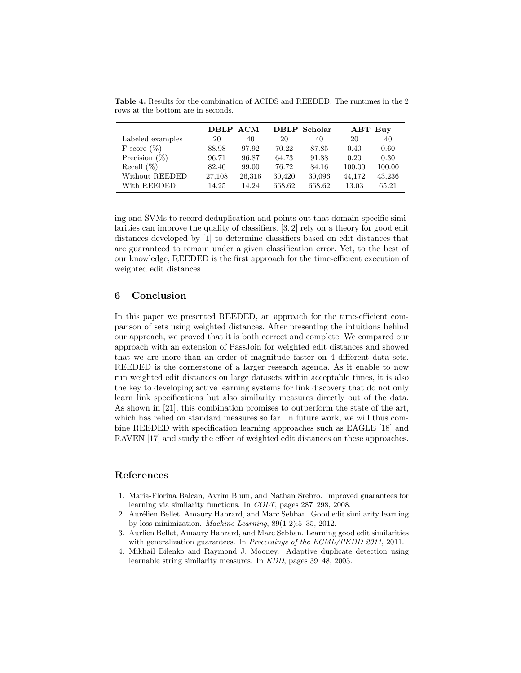|                  | DBLP-ACM |        |        | DBLP-Scholar | $ABT$ -Buy |        |
|------------------|----------|--------|--------|--------------|------------|--------|
| Labeled examples | 20       | 40     | 20     | 40           | 20         | 40     |
| F-score $(\%)$   | 88.98    | 97.92  | 70.22  | 87.85        | 0.40       | 0.60   |
| Precision $(\%)$ | 96.71    | 96.87  | 64.73  | 91.88        | 0.20       | 0.30   |
| Recall $(\%)$    | 82.40    | 99.00  | 76.72  | 84.16        | 100.00     | 100.00 |
| Without REEDED   | 27,108   | 26,316 | 30,420 | 30,096       | 44,172     | 43,236 |
| With REEDED      | 14.25    | 14.24  | 668.62 | 668.62       | 13.03      | 65.21  |

Table 4. Results for the combination of ACIDS and REEDED. The runtimes in the 2 rows at the bottom are in seconds.

ing and SVMs to record deduplication and points out that domain-specific similarities can improve the quality of classifiers. [3, 2] rely on a theory for good edit distances developed by [1] to determine classifiers based on edit distances that are guaranteed to remain under a given classification error. Yet, to the best of our knowledge, REEDED is the first approach for the time-efficient execution of weighted edit distances.

## 6 Conclusion

In this paper we presented REEDED, an approach for the time-efficient comparison of sets using weighted distances. After presenting the intuitions behind our approach, we proved that it is both correct and complete. We compared our approach with an extension of PassJoin for weighted edit distances and showed that we are more than an order of magnitude faster on 4 different data sets. REEDED is the cornerstone of a larger research agenda. As it enable to now run weighted edit distances on large datasets within acceptable times, it is also the key to developing active learning systems for link discovery that do not only learn link specifications but also similarity measures directly out of the data. As shown in [21], this combination promises to outperform the state of the art, which has relied on standard measures so far. In future work, we will thus combine REEDED with specification learning approaches such as EAGLE [18] and RAVEN [17] and study the effect of weighted edit distances on these approaches.

## References

- 1. Maria-Florina Balcan, Avrim Blum, and Nathan Srebro. Improved guarantees for learning via similarity functions. In COLT, pages 287–298, 2008.
- 2. Aurélien Bellet, Amaury Habrard, and Marc Sebban. Good edit similarity learning by loss minimization. Machine Learning, 89(1-2):5–35, 2012.
- 3. Aurlien Bellet, Amaury Habrard, and Marc Sebban. Learning good edit similarities with generalization guarantees. In Proceedings of the ECML/PKDD 2011, 2011.
- 4. Mikhail Bilenko and Raymond J. Mooney. Adaptive duplicate detection using learnable string similarity measures. In KDD, pages 39–48, 2003.